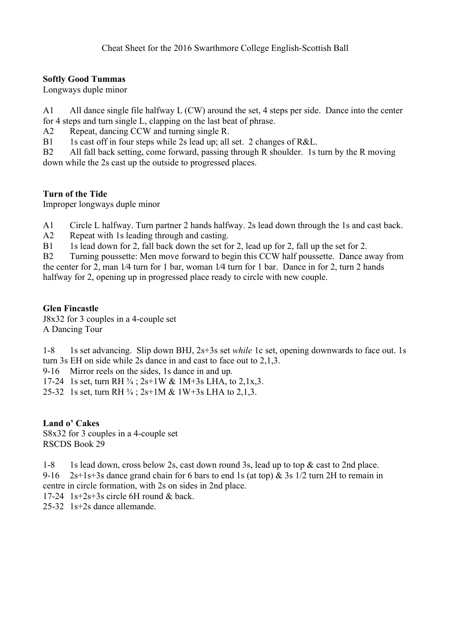## **Softly Good Tummas**

Longways duple minor

A1 All dance single file halfway L (CW) around the set, 4 steps per side. Dance into the center for 4 steps and turn single L, clapping on the last beat of phrase.

A2 Repeat, dancing CCW and turning single R.

B1 1s cast off in four steps while 2s lead up; all set. 2 changes of R&L.

B2 All fall back setting, come forward, passing through R shoulder. 1s turn by the R moving down while the 2s cast up the outside to progressed places.

## **Turn of the Tide**

Improper longways duple minor

A1 Circle L halfway. Turn partner 2 hands halfway. 2s lead down through the 1s and cast back.

A2 Repeat with 1s leading through and casting.

B1 1s lead down for 2, fall back down the set for 2, lead up for 2, fall up the set for 2.

B2 Turning poussette: Men move forward to begin this CCW half poussette. Dance away from the center for 2, man 1⁄4 turn for 1 bar, woman 1⁄4 turn for 1 bar. Dance in for 2, turn 2 hands halfway for 2, opening up in progressed place ready to circle with new couple.

## **Glen Fincastle**

J8x32 for 3 couples in a 4-couple set A Dancing Tour

1-8 1s set advancing. Slip down BHJ, 2s+3s set *while* 1c set, opening downwards to face out. 1s turn 3s EH on side while 2s dance in and cast to face out to 2,1,3.

9-16 Mirror reels on the sides, 1s dance in and up.

17-24 1s set, turn RH  $\frac{3}{4}$ ; 2s+1W & 1M+3s LHA, to 2,1x,3.

25-32 1s set, turn RH  $\frac{3}{4}$ ; 2s+1M & 1W+3s LHA to 2,1,3.

# **Land o' Cakes**

S8x32 for 3 couples in a 4-couple set RSCDS Book 29

1-8 1s lead down, cross below 2s, cast down round 3s, lead up to top & cast to 2nd place. 9-16 2s+1s+3s dance grand chain for 6 bars to end 1s (at top)  $\&$  3s 1/2 turn 2H to remain in

centre in circle formation, with 2s on sides in 2nd place.

 $17-24$  1s+2s+3s circle 6H round & back

25-32 1s+2s dance allemande.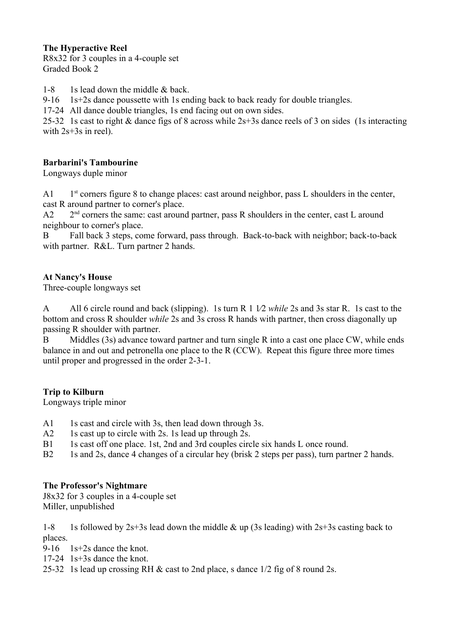## **The Hyperactive Reel**

R8x32 for 3 couples in a 4-couple set Graded Book 2

1-8 1s lead down the middle  $\&$  back.

9-16 1s+2s dance poussette with 1s ending back to back ready for double triangles.

17-24 All dance double triangles, 1s end facing out on own sides.

25-32 1s cast to right & dance figs of 8 across while 2s+3s dance reels of 3 on sides (1s interacting with 2s+3s in reel).

## **Barbarini's Tambourine**

Longways duple minor

 $A1$  $1<sup>st</sup>$  corners figure 8 to change places: cast around neighbor, pass L shoulders in the center, cast R around partner to corner's place.

 $A2$  $2<sup>nd</sup>$  corners the same: cast around partner, pass R shoulders in the center, cast L around neighbour to corner's place.

B Fall back 3 steps, come forward, pass through. Back-to-back with neighbor; back-to-back with partner. R&L. Turn partner 2 hands.

#### **At Nancy's House**

Three-couple longways set

A All 6 circle round and back (slipping). 1s turn R 1 1⁄2 *while* 2s and 3s star R. 1s cast to the bottom and cross R shoulder *while* 2s and 3s cross R hands with partner, then cross diagonally up passing R shoulder with partner.

B Middles (3s) advance toward partner and turn single R into a cast one place CW, while ends balance in and out and petronella one place to the R (CCW). Repeat this figure three more times until proper and progressed in the order 2-3-1.

#### **Trip to Kilburn**

Longways triple minor

- A1 1s cast and circle with 3s, then lead down through 3s.
- A2 1s cast up to circle with 2s. 1s lead up through 2s.
- B1 1s cast off one place. 1st, 2nd and 3rd couples circle six hands L once round.
- B2 1s and 2s, dance 4 changes of a circular hey (brisk 2 steps per pass), turn partner 2 hands.

#### **The Professor's Nightmare**

J8x32 for 3 couples in a 4-couple set Miller, unpublished

1-8 1s followed by  $2s+3s$  lead down the middle  $\&$  up (3s leading) with  $2s+3s$  casting back to places.

9-16 1s+2s dance the knot.

- 17-24 1s+3s dance the knot.
- 25-32 1s lead up crossing RH & cast to 2nd place, s dance 1/2 fig of 8 round 2s.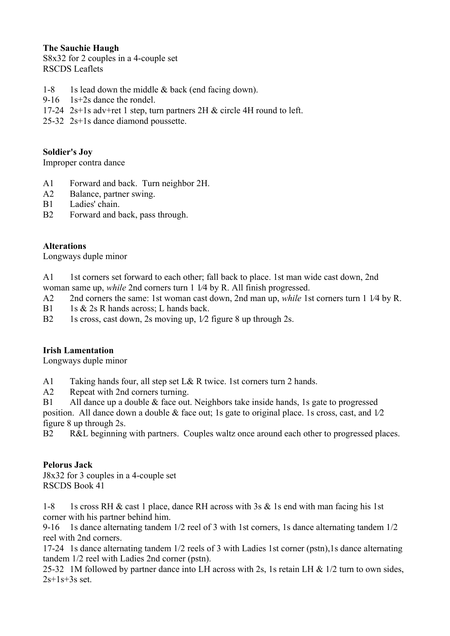### **The Sauchie Haugh**

S8x32 for 2 couples in a 4-couple set RSCDS Leaflets

- 1-8 1s lead down the middle & back (end facing down).
- 9-16 1s+2s dance the rondel.
- 17-24 2s+1s adv+ret 1 step, turn partners 2H & circle 4H round to left.
- 25-32 2s+1s dance diamond poussette.

## **Soldier's Joy**

Improper contra dance

- A1 Forward and back. Turn neighbor 2H.
- A2 Balance, partner swing.
- B1 Ladies' chain.
- B2 Forward and back, pass through.

# **Alterations**

Longways duple minor

- A<sub>1</sub> 1st corners set forward to each other: fall back to place. 1st man wide cast down, 2nd woman same up, *while* 2nd corners turn 1 1/4 by R. All finish progressed.
- A2 2nd corners the same: 1st woman cast down, 2nd man up, *while* 1st corners turn 1 1⁄4 by R.
- B1 1s & 2s R hands across; L hands back.
- B2 1s cross, cast down, 2s moving up,  $1/2$  figure 8 up through 2s.

# **Irish Lamentation**

Longways duple minor

A1 Taking hands four, all step set L& R twice. 1st corners turn 2 hands.

A2 Repeat with 2nd corners turning.

B1 All dance up a double & face out. Neighbors take inside hands, 1s gate to progressed position. All dance down a double & face out; 1s gate to original place. 1s cross, cast, and 1⁄2 figure 8 up through 2s.

B2 R&L beginning with partners. Couples waltz once around each other to progressed places.

# **Pelorus Jack**

J8x32 for 3 couples in a 4-couple set RSCDS Book 41

1-8 1s cross RH & cast 1 place, dance RH across with 3s & 1s end with man facing his 1st corner with his partner behind him.

9-16 1s dance alternating tandem 1/2 reel of 3 with 1st corners, 1s dance alternating tandem 1/2 reel with 2nd corners.

17-24 1s dance alternating tandem 1/2 reels of 3 with Ladies 1st corner (pstn),1s dance alternating tandem 1/2 reel with Ladies 2nd corner (pstn).

25-32 1M followed by partner dance into LH across with 2s, 1s retain LH & 1/2 turn to own sides, 2s+1s+3s set.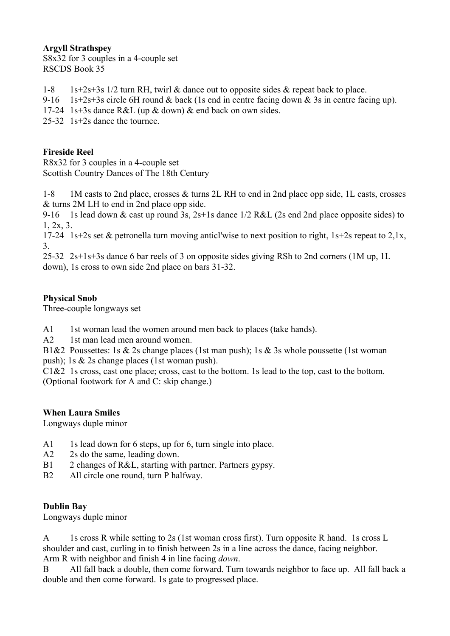### **Argyll Strathspey**

S8x32 for 3 couples in a 4-couple set RSCDS Book 35

- 1-8 1s+2s+3s 1/2 turn RH, twirl & dance out to opposite sides & repeat back to place.
- 9-16 1s+2s+3s circle 6H round & back (1s end in centre facing down & 3s in centre facing up).
- 17-24 1s+3s dance R&L (up & down) & end back on own sides.

25-32 1s+2s dance the tournee.

## **Fireside Reel**

R8x32 for 3 couples in a 4-couple set Scottish Country Dances of The 18th Century

1-8 1M casts to 2nd place, crosses & turns 2L RH to end in 2nd place opp side, 1L casts, crosses & turns 2M LH to end in 2nd place opp side.

9-16 1s lead down & cast up round 3s,  $2s+1s$  dance  $1/2$  R&L (2s end 2nd place opposite sides) to 1, 2x, 3.

17-24 1s+2s set & petronella turn moving anticl'wise to next position to right, 1s+2s repeat to 2,1x, 3.

25-32 2s+1s+3s dance 6 bar reels of 3 on opposite sides giving RSh to 2nd corners (1M up, 1L down), 1s cross to own side 2nd place on bars 31-32.

# **Physical Snob**

Three-couple longways set

A1 1st woman lead the women around men back to places (take hands).

A<sub>2</sub> 1st man lead men around women.

B1&2 Poussettes: 1s & 2s change places (1st man push); 1s & 3s whole poussette (1st woman push); 1s & 2s change places (1st woman push).

C1&2 1s cross, cast one place; cross, cast to the bottom. 1s lead to the top, cast to the bottom. (Optional footwork for A and C: skip change.)

# **When Laura Smiles**

Longways duple minor

- A1 1s lead down for 6 steps, up for 6, turn single into place.
- A2 2s do the same, leading down.
- B1 2 changes of R&L, starting with partner. Partners gypsy.
- B2 All circle one round, turn P halfway.

#### **Dublin Bay**

Longways duple minor

A 1s cross R while setting to 2s (1st woman cross first). Turn opposite R hand. 1s cross L shoulder and cast, curling in to finish between 2s in a line across the dance, facing neighbor. Arm R with neighbor and finish 4 in line facing *down*.

B All fall back a double, then come forward. Turn towards neighbor to face up. All fall back a double and then come forward. 1s gate to progressed place.